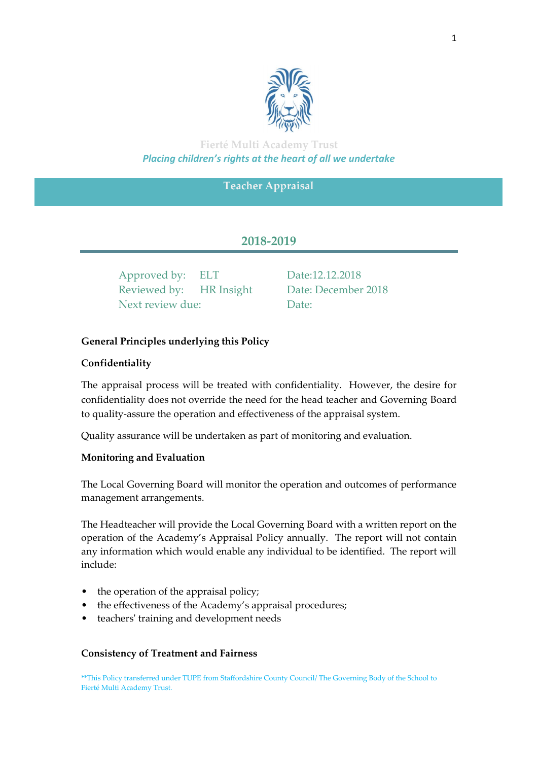

# **Fierté Multi Academy Trust** *Placing children's rights at the heart of all we undertake*

# **Teacher Appraisal**

# **2018-2019**

Approved by: ELT Date:12.12.2018 Reviewed by: HR Insight Date: December 2018 Next review due: Date:

#### **General Principles underlying this Policy**

#### **Confidentiality**

The appraisal process will be treated with confidentiality. However, the desire for confidentiality does not override the need for the head teacher and Governing Board to quality-assure the operation and effectiveness of the appraisal system.

Quality assurance will be undertaken as part of monitoring and evaluation.

#### **Monitoring and Evaluation**

The Local Governing Board will monitor the operation and outcomes of performance management arrangements.

The Headteacher will provide the Local Governing Board with a written report on the operation of the Academy's Appraisal Policy annually. The report will not contain any information which would enable any individual to be identified. The report will include:

- the operation of the appraisal policy;
- the effectiveness of the Academy's appraisal procedures;
- teachers' training and development needs

#### **Consistency of Treatment and Fairness**

\*\*This Policy transferred under TUPE from Staffordshire County Council/ The Governing Body of the School to Fierté Multi Academy Trust.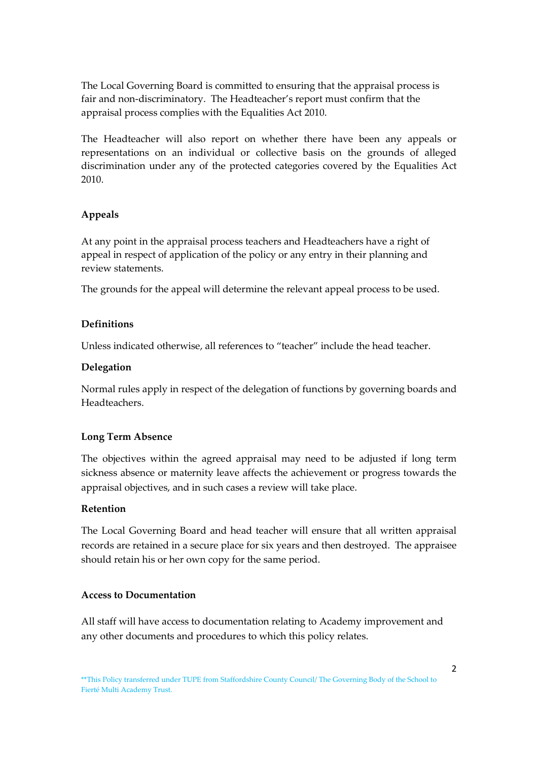The Local Governing Board is committed to ensuring that the appraisal process is fair and non-discriminatory. The Headteacher's report must confirm that the appraisal process complies with the Equalities Act 2010.

The Headteacher will also report on whether there have been any appeals or representations on an individual or collective basis on the grounds of alleged discrimination under any of the protected categories covered by the Equalities Act 2010.

## **Appeals**

At any point in the appraisal process teachers and Headteachers have a right of appeal in respect of application of the policy or any entry in their planning and review statements.

The grounds for the appeal will determine the relevant appeal process to be used.

## **Definitions**

Unless indicated otherwise, all references to "teacher" include the head teacher.

## **Delegation**

Normal rules apply in respect of the delegation of functions by governing boards and Headteachers.

# **Long Term Absence**

The objectives within the agreed appraisal may need to be adjusted if long term sickness absence or maternity leave affects the achievement or progress towards the appraisal objectives, and in such cases a review will take place.

## **Retention**

The Local Governing Board and head teacher will ensure that all written appraisal records are retained in a secure place for six years and then destroyed. The appraisee should retain his or her own copy for the same period.

## **Access to Documentation**

All staff will have access to documentation relating to Academy improvement and any other documents and procedures to which this policy relates.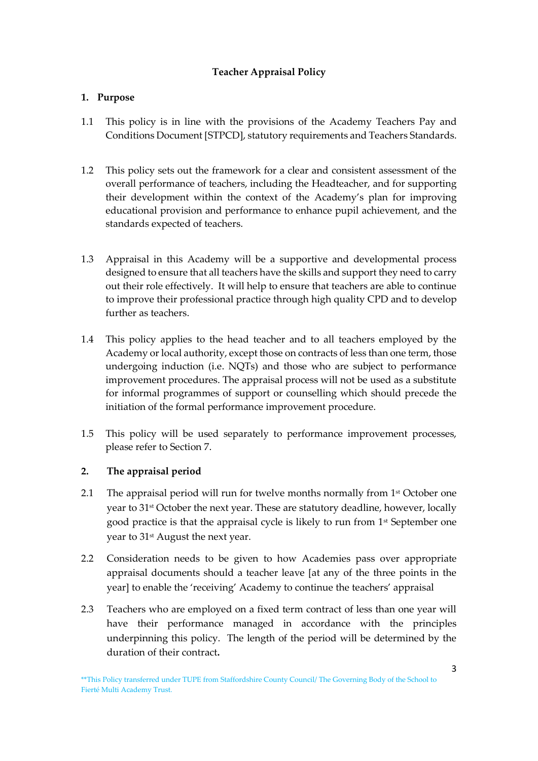# **Teacher Appraisal Policy**

# **1. Purpose**

- 1.1 This policy is in line with the provisions of the Academy Teachers Pay and Conditions Document [STPCD], statutory requirements and Teachers Standards.
- 1.2 This policy sets out the framework for a clear and consistent assessment of the overall performance of teachers, including the Headteacher, and for supporting their development within the context of the Academy's plan for improving educational provision and performance to enhance pupil achievement, and the standards expected of teachers.
- 1.3 Appraisal in this Academy will be a supportive and developmental process designed to ensure that all teachers have the skills and support they need to carry out their role effectively. It will help to ensure that teachers are able to continue to improve their professional practice through high quality CPD and to develop further as teachers.
- 1.4 This policy applies to the head teacher and to all teachers employed by the Academy or local authority, except those on contracts of less than one term, those undergoing induction (i.e. NQTs) and those who are subject to performance improvement procedures. The appraisal process will not be used as a substitute for informal programmes of support or counselling which should precede the initiation of the formal performance improvement procedure.
- 1.5 This policy will be used separately to performance improvement processes, please refer to Section 7.

# **2. The appraisal period**

- 2.1 The appraisal period will run for twelve months normally from  $1<sup>st</sup>$  October one year to 31st October the next year. These are statutory deadline, however, locally good practice is that the appraisal cycle is likely to run from 1st September one year to 31st August the next year.
- 2.2 Consideration needs to be given to how Academies pass over appropriate appraisal documents should a teacher leave [at any of the three points in the year] to enable the 'receiving' Academy to continue the teachers' appraisal
- 2.3 Teachers who are employed on a fixed term contract of less than one year will have their performance managed in accordance with the principles underpinning this policy. The length of the period will be determined by the duration of their contract**.**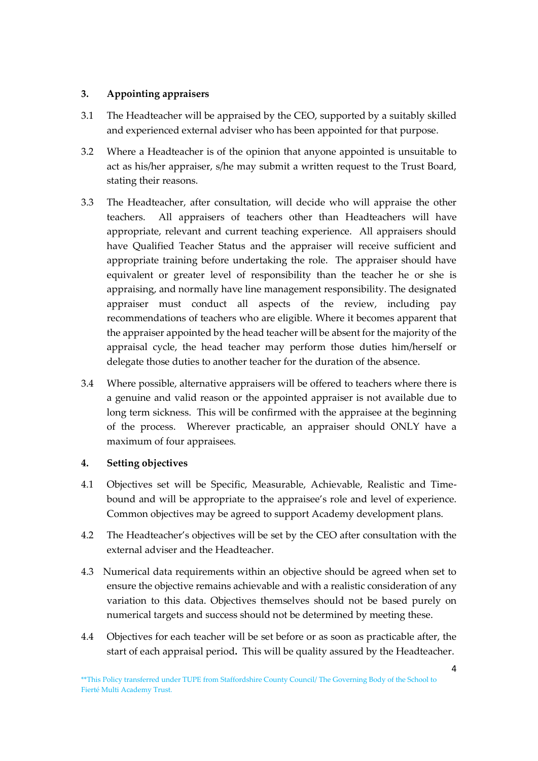## **3. Appointing appraisers**

- 3.1 The Headteacher will be appraised by the CEO, supported by a suitably skilled and experienced external adviser who has been appointed for that purpose.
- 3.2 Where a Headteacher is of the opinion that anyone appointed is unsuitable to act as his/her appraiser, s/he may submit a written request to the Trust Board, stating their reasons.
- 3.3 The Headteacher, after consultation, will decide who will appraise the other teachers. All appraisers of teachers other than Headteachers will have appropriate, relevant and current teaching experience. All appraisers should have Qualified Teacher Status and the appraiser will receive sufficient and appropriate training before undertaking the role. The appraiser should have equivalent or greater level of responsibility than the teacher he or she is appraising, and normally have line management responsibility. The designated appraiser must conduct all aspects of the review, including pay recommendations of teachers who are eligible. Where it becomes apparent that the appraiser appointed by the head teacher will be absent for the majority of the appraisal cycle, the head teacher may perform those duties him/herself or delegate those duties to another teacher for the duration of the absence.
- 3.4 Where possible, alternative appraisers will be offered to teachers where there is a genuine and valid reason or the appointed appraiser is not available due to long term sickness. This will be confirmed with the appraisee at the beginning of the process. Wherever practicable, an appraiser should ONLY have a maximum of four appraisees*.*

# **4. Setting objectives**

- 4.1 Objectives set will be Specific, Measurable, Achievable, Realistic and Timebound and will be appropriate to the appraisee's role and level of experience. Common objectives may be agreed to support Academy development plans.
- 4.2 The Headteacher's objectives will be set by the CEO after consultation with the external adviser and the Headteacher.
- 4.3 Numerical data requirements within an objective should be agreed when set to ensure the objective remains achievable and with a realistic consideration of any variation to this data. Objectives themselves should not be based purely on numerical targets and success should not be determined by meeting these.
- 4.4 Objectives for each teacher will be set before or as soon as practicable after, the start of each appraisal period**.** This will be quality assured by the Headteacher.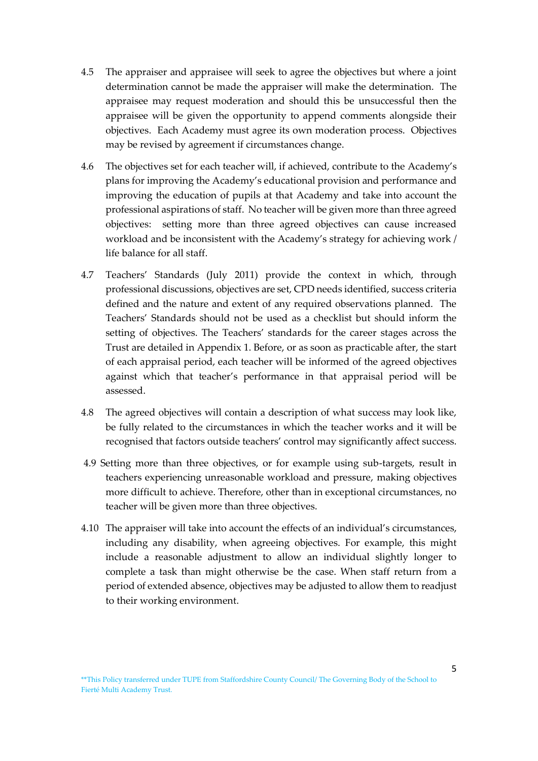- 4.5 The appraiser and appraisee will seek to agree the objectives but where a joint determination cannot be made the appraiser will make the determination. The appraisee may request moderation and should this be unsuccessful then the appraisee will be given the opportunity to append comments alongside their objectives. Each Academy must agree its own moderation process. Objectives may be revised by agreement if circumstances change.
- 4.6 The objectives set for each teacher will, if achieved, contribute to the Academy's plans for improving the Academy's educational provision and performance and improving the education of pupils at that Academy and take into account the professional aspirations of staff. No teacher will be given more than three agreed objectives: setting more than three agreed objectives can cause increased workload and be inconsistent with the Academy's strategy for achieving work / life balance for all staff.
- 4.7 Teachers' Standards (July 2011) provide the context in which, through professional discussions, objectives are set, CPD needs identified, success criteria defined and the nature and extent of any required observations planned. The Teachers' Standards should not be used as a checklist but should inform the setting of objectives. The Teachers' standards for the career stages across the Trust are detailed in Appendix 1. Before, or as soon as practicable after, the start of each appraisal period, each teacher will be informed of the agreed objectives against which that teacher's performance in that appraisal period will be assessed.
- 4.8 The agreed objectives will contain a description of what success may look like, be fully related to the circumstances in which the teacher works and it will be recognised that factors outside teachers' control may significantly affect success.
- 4.9 Setting more than three objectives, or for example using sub-targets, result in teachers experiencing unreasonable workload and pressure, making objectives more difficult to achieve. Therefore, other than in exceptional circumstances, no teacher will be given more than three objectives.
- 4.10 The appraiser will take into account the effects of an individual's circumstances, including any disability, when agreeing objectives. For example, this might include a reasonable adjustment to allow an individual slightly longer to complete a task than might otherwise be the case. When staff return from a period of extended absence, objectives may be adjusted to allow them to readjust to their working environment.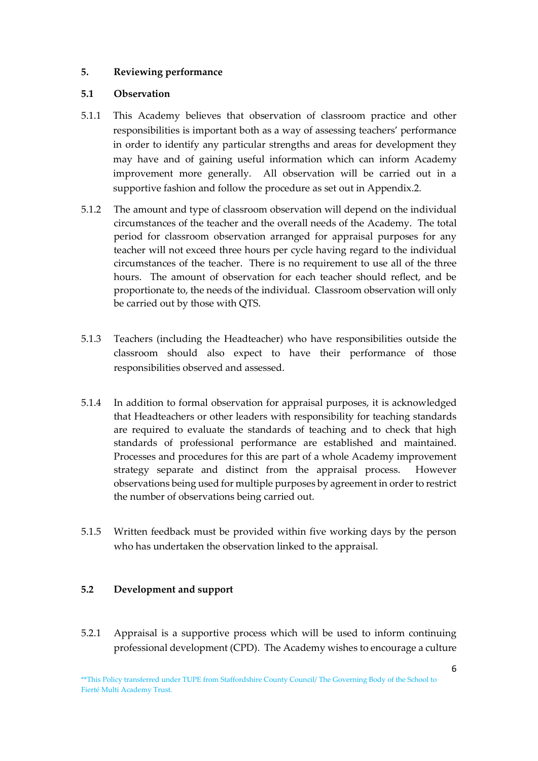## **5. Reviewing performance**

## **5.1 Observation**

- 5.1.1 This Academy believes that observation of classroom practice and other responsibilities is important both as a way of assessing teachers' performance in order to identify any particular strengths and areas for development they may have and of gaining useful information which can inform Academy improvement more generally. All observation will be carried out in a supportive fashion and follow the procedure as set out in Appendix.2*.*
- 5.1.2 The amount and type of classroom observation will depend on the individual circumstances of the teacher and the overall needs of the Academy. The total period for classroom observation arranged for appraisal purposes for any teacher will not exceed three hours per cycle having regard to the individual circumstances of the teacher. There is no requirement to use all of the three hours. The amount of observation for each teacher should reflect, and be proportionate to, the needs of the individual. Classroom observation will only be carried out by those with QTS.
- 5.1.3 Teachers (including the Headteacher) who have responsibilities outside the classroom should also expect to have their performance of those responsibilities observed and assessed.
- 5.1.4 In addition to formal observation for appraisal purposes, it is acknowledged that Headteachers or other leaders with responsibility for teaching standards are required to evaluate the standards of teaching and to check that high standards of professional performance are established and maintained. Processes and procedures for this are part of a whole Academy improvement strategy separate and distinct from the appraisal process. However observations being used for multiple purposes by agreement in order to restrict the number of observations being carried out.
- 5.1.5 Written feedback must be provided within five working days by the person who has undertaken the observation linked to the appraisal.

# **5.2 Development and support**

5.2.1 Appraisal is a supportive process which will be used to inform continuing professional development (CPD). The Academy wishes to encourage a culture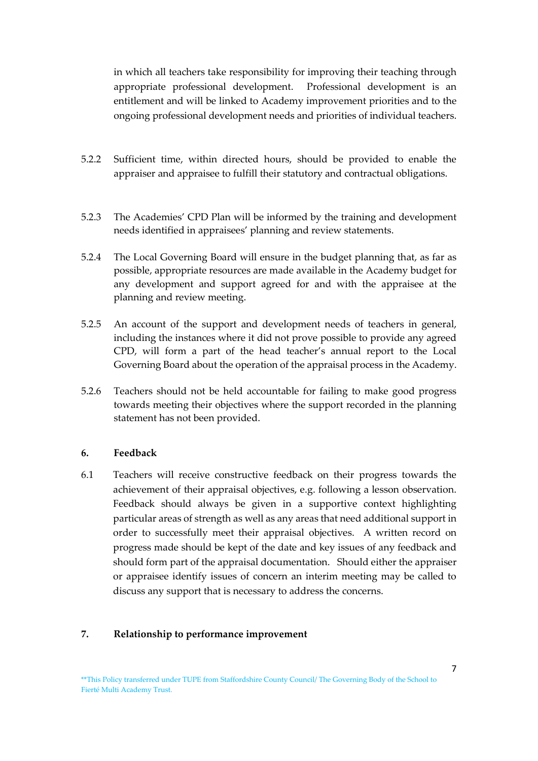in which all teachers take responsibility for improving their teaching through appropriate professional development. Professional development is an entitlement and will be linked to Academy improvement priorities and to the ongoing professional development needs and priorities of individual teachers.

- 5.2.2 Sufficient time, within directed hours, should be provided to enable the appraiser and appraisee to fulfill their statutory and contractual obligations.
- 5.2.3 The Academies' CPD Plan will be informed by the training and development needs identified in appraisees' planning and review statements.
- 5.2.4 The Local Governing Board will ensure in the budget planning that, as far as possible, appropriate resources are made available in the Academy budget for any development and support agreed for and with the appraisee at the planning and review meeting.
- 5.2.5 An account of the support and development needs of teachers in general, including the instances where it did not prove possible to provide any agreed CPD, will form a part of the head teacher's annual report to the Local Governing Board about the operation of the appraisal process in the Academy.
- 5.2.6 Teachers should not be held accountable for failing to make good progress towards meeting their objectives where the support recorded in the planning statement has not been provided.

#### **6. Feedback**

6.1 Teachers will receive constructive feedback on their progress towards the achievement of their appraisal objectives, e.g. following a lesson observation. Feedback should always be given in a supportive context highlighting particular areas of strength as well as any areas that need additional support in order to successfully meet their appraisal objectives. A written record on progress made should be kept of the date and key issues of any feedback and should form part of the appraisal documentation. Should either the appraiser or appraisee identify issues of concern an interim meeting may be called to discuss any support that is necessary to address the concerns.

#### **7. Relationship to performance improvement**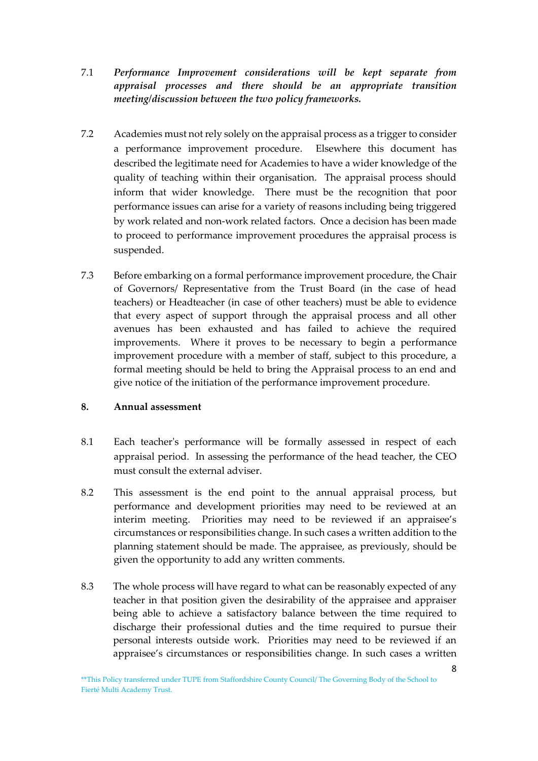- 7.1 *Performance Improvement considerations will be kept separate from appraisal processes and there should be an appropriate transition meeting/discussion between the two policy frameworks.*
- 7.2 Academies must not rely solely on the appraisal process as a trigger to consider a performance improvement procedure. Elsewhere this document has described the legitimate need for Academies to have a wider knowledge of the quality of teaching within their organisation. The appraisal process should inform that wider knowledge. There must be the recognition that poor performance issues can arise for a variety of reasons including being triggered by work related and non-work related factors. Once a decision has been made to proceed to performance improvement procedures the appraisal process is suspended.
- 7.3 Before embarking on a formal performance improvement procedure, the Chair of Governors/ Representative from the Trust Board (in the case of head teachers) or Headteacher (in case of other teachers) must be able to evidence that every aspect of support through the appraisal process and all other avenues has been exhausted and has failed to achieve the required improvements. Where it proves to be necessary to begin a performance improvement procedure with a member of staff, subject to this procedure, a formal meeting should be held to bring the Appraisal process to an end and give notice of the initiation of the performance improvement procedure.

## **8. Annual assessment**

- 8.1 Each teacher's performance will be formally assessed in respect of each appraisal period. In assessing the performance of the head teacher, the CEO must consult the external adviser.
- 8.2 This assessment is the end point to the annual appraisal process, but performance and development priorities may need to be reviewed at an interim meeting. Priorities may need to be reviewed if an appraisee's circumstances or responsibilities change. In such cases a written addition to the planning statement should be made. The appraisee, as previously, should be given the opportunity to add any written comments.
- 8.3 The whole process will have regard to what can be reasonably expected of any teacher in that position given the desirability of the appraisee and appraiser being able to achieve a satisfactory balance between the time required to discharge their professional duties and the time required to pursue their personal interests outside work. Priorities may need to be reviewed if an appraisee's circumstances or responsibilities change. In such cases a written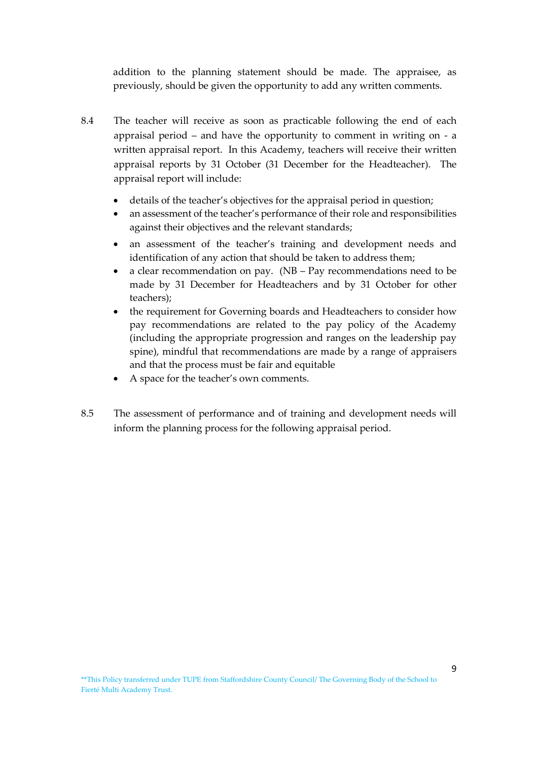addition to the planning statement should be made. The appraisee, as previously, should be given the opportunity to add any written comments.

- 8.4 The teacher will receive as soon as practicable following the end of each appraisal period – and have the opportunity to comment in writing on - a written appraisal report. In this Academy, teachers will receive their written appraisal reports by 31 October (31 December for the Headteacher). The appraisal report will include:
	- details of the teacher's objectives for the appraisal period in question;
	- an assessment of the teacher's performance of their role and responsibilities against their objectives and the relevant standards;
	- an assessment of the teacher's training and development needs and identification of any action that should be taken to address them;
	- a clear recommendation on pay.(NB Pay recommendations need to be made by 31 December for Headteachers and by 31 October for other teachers);
	- the requirement for Governing boards and Headteachers to consider how pay recommendations are related to the pay policy of the Academy (including the appropriate progression and ranges on the leadership pay spine), mindful that recommendations are made by a range of appraisers and that the process must be fair and equitable
	- A space for the teacher's own comments.
- 8.5 The assessment of performance and of training and development needs will inform the planning process for the following appraisal period.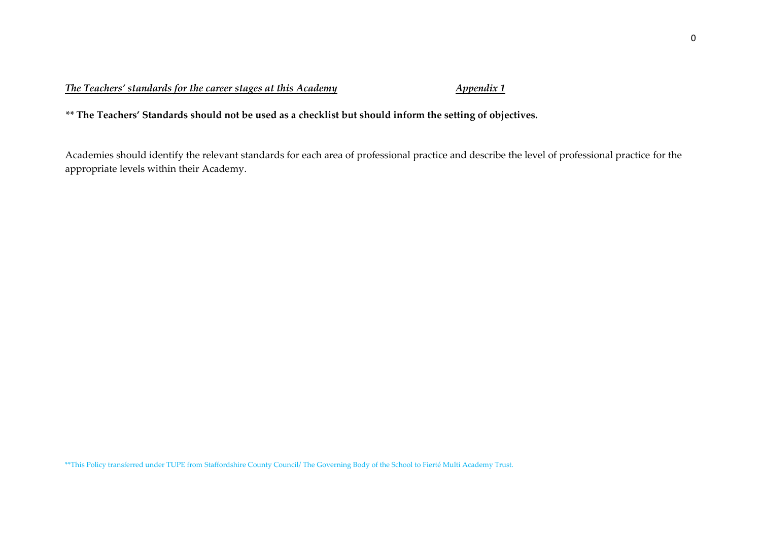*The Teachers' standards for the career stages at this Academy Appendix 1* 

*\*\** **The Teachers' Standards should not be used as a checklist but should inform the setting of objectives.**

Academies should identify the relevant standards for each area of professional practice and describe the level of professional practice for the appropriate levels within their Academy.

\*\*This Policy transferred under TUPE from Staffordshire County Council/ The Governing Body of the School to Fierté Multi Academy Trust.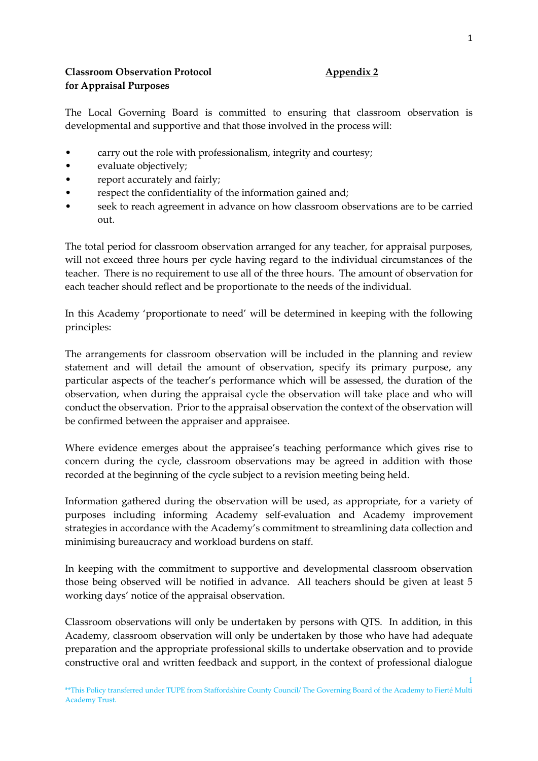# **Classroom Observation Protocol Appendix 2 for Appraisal Purposes**

The Local Governing Board is committed to ensuring that classroom observation is developmental and supportive and that those involved in the process will:

- carry out the role with professionalism, integrity and courtesy;
- evaluate objectively;
- report accurately and fairly;
- respect the confidentiality of the information gained and;
- seek to reach agreement in advance on how classroom observations are to be carried out.

The total period for classroom observation arranged for any teacher, for appraisal purposes, will not exceed three hours per cycle having regard to the individual circumstances of the teacher. There is no requirement to use all of the three hours. The amount of observation for each teacher should reflect and be proportionate to the needs of the individual.

In this Academy 'proportionate to need' will be determined in keeping with the following principles:

The arrangements for classroom observation will be included in the planning and review statement and will detail the amount of observation, specify its primary purpose, any particular aspects of the teacher's performance which will be assessed, the duration of the observation, when during the appraisal cycle the observation will take place and who will conduct the observation. Prior to the appraisal observation the context of the observation will be confirmed between the appraiser and appraisee.

Where evidence emerges about the appraisee's teaching performance which gives rise to concern during the cycle, classroom observations may be agreed in addition with those recorded at the beginning of the cycle subject to a revision meeting being held.

Information gathered during the observation will be used, as appropriate, for a variety of purposes including informing Academy self-evaluation and Academy improvement strategies in accordance with the Academy's commitment to streamlining data collection and minimising bureaucracy and workload burdens on staff.

In keeping with the commitment to supportive and developmental classroom observation those being observed will be notified in advance. All teachers should be given at least 5 working days' notice of the appraisal observation.

Classroom observations will only be undertaken by persons with QTS. In addition, in this Academy, classroom observation will only be undertaken by those who have had adequate preparation and the appropriate professional skills to undertake observation and to provide constructive oral and written feedback and support, in the context of professional dialogue

1

<sup>\*\*</sup>This Policy transferred under TUPE from Staffordshire County Council/ The Governing Board of the Academy to Fierté Multi Academy Trust.